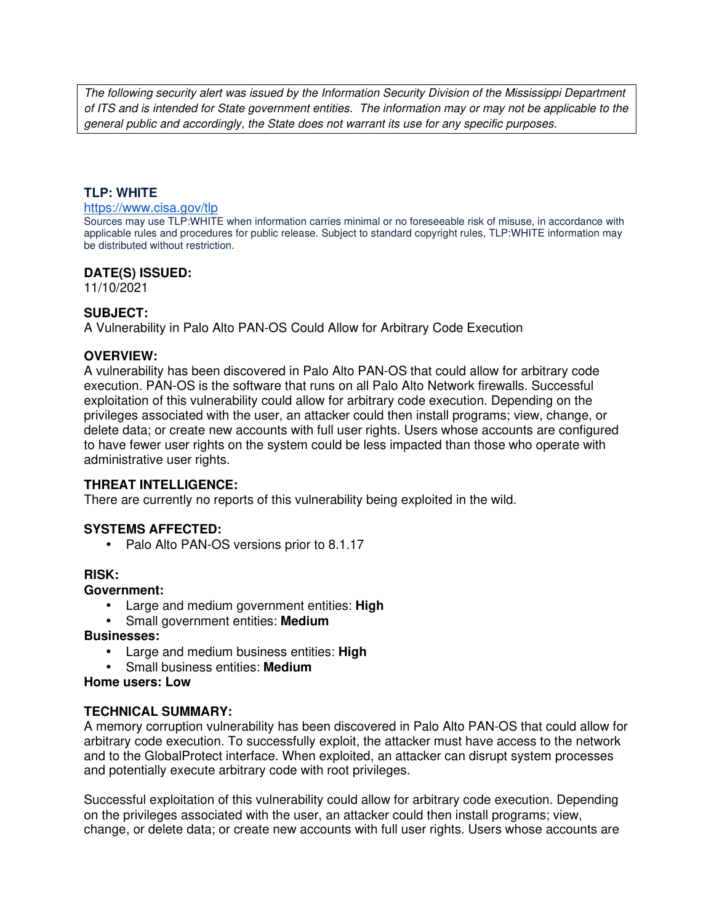The following security alert was issued by the Information Security Division of the Mississippi Department of ITS and is intended for State government entities. The information may or may not be applicable to the general public and accordingly, the State does not warrant its use for any specific purposes.

### **TLP: WHITE**

#### https://www.cisa.gov/tlp

Sources may use TLP:WHITE when information carries minimal or no foreseeable risk of misuse, in accordance with applicable rules and procedures for public release. Subject to standard copyright rules, TLP:WHITE information may be distributed without restriction.

### **DATE(S) ISSUED:**

11/10/2021

## **SUBJECT:**

A Vulnerability in Palo Alto PAN-OS Could Allow for Arbitrary Code Execution

### **OVERVIEW:**

A vulnerability has been discovered in Palo Alto PAN-OS that could allow for arbitrary code execution. PAN-OS is the software that runs on all Palo Alto Network firewalls. Successful exploitation of this vulnerability could allow for arbitrary code execution. Depending on the privileges associated with the user, an attacker could then install programs; view, change, or delete data; or create new accounts with full user rights. Users whose accounts are configured to have fewer user rights on the system could be less impacted than those who operate with administrative user rights.

## **THREAT INTELLIGENCE:**

There are currently no reports of this vulnerability being exploited in the wild.

## **SYSTEMS AFFECTED:**

• Palo Alto PAN-OS versions prior to 8.1.17

#### **RISK:**

#### **Government:**

- Large and medium government entities: **High**
- Small government entities: **Medium**

#### **Businesses:**

- Large and medium business entities: **High**
- Small business entities: **Medium**

**Home users: Low**

#### **TECHNICAL SUMMARY:**

A memory corruption vulnerability has been discovered in Palo Alto PAN-OS that could allow for arbitrary code execution. To successfully exploit, the attacker must have access to the network and to the GlobalProtect interface. When exploited, an attacker can disrupt system processes and potentially execute arbitrary code with root privileges.

Successful exploitation of this vulnerability could allow for arbitrary code execution. Depending on the privileges associated with the user, an attacker could then install programs; view, change, or delete data; or create new accounts with full user rights. Users whose accounts are